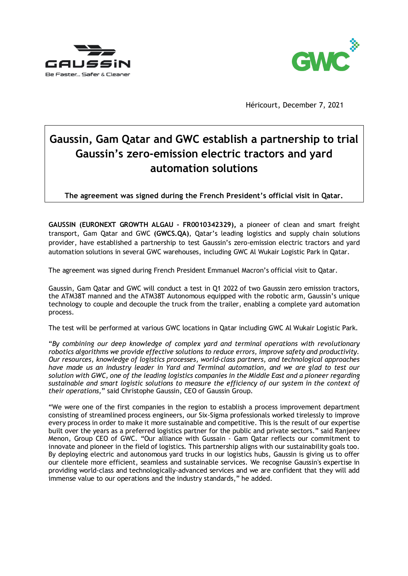



Héricourt, December 7, 2021

# **Gaussin, Gam Qatar and GWC establish a partnership to trial Gaussin's zero-emission electric tractors and yard automation solutions**

**The agreement was signed during the French President's official visit in Qatar.**

**GAUSSIN (EURONEXT GROWTH ALGAU - FR0010342329),** a pioneer of clean and smart freight transport, Gam Qatar and GWC **(GWCS.QA)**, Qatar's leading logistics and supply chain solutions provider, have established a partnership to test Gaussin's zero-emission electric tractors and yard automation solutions in several GWC warehouses, including GWC Al Wukair Logistic Park in Qatar.

The agreement was signed during French President Emmanuel Macron's official visit to Qatar.

Gaussin, Gam Qatar and GWC will conduct a test in Q1 2022 of two Gaussin zero emission tractors, the ATM38T manned and the ATM38T Autonomous equipped with the robotic arm, Gaussin's unique technology to couple and decouple the truck from the trailer, enabling a complete yard automation process.

The test will be performed at various GWC locations in Qatar including GWC Al Wukair Logistic Park.

"*By combining our deep knowledge of complex yard and terminal operations with revolutionary robotics algorithms we provide effective solutions to reduce errors, improve safety and productivity. Our resources, knowledge of logistics processes, world-class partners, and technological approaches have made us an industry leader in Yard and Terminal automation, and we are glad to test our solution with GWC, one of the leading logistics companies in the Middle East and a pioneer regarding sustainable and smart logistic solutions to measure the efficiency of our system in the context of their operations,*" said Christophe Gaussin, CEO of Gaussin Group.

"We were one of the first companies in the region to establish a process improvement department consisting of streamlined process engineers, our Six-Sigma professionals worked tirelessly to improve every process in order to make it more sustainable and competitive. This is the result of our expertise built over the years as a preferred logistics partner for the public and private sectors." said Ranjeev Menon, Group CEO of GWC. "Our alliance with Gussain - Gam Qatar reflects our commitment to innovate and pioneer in the field of logistics. This partnership aligns with our sustainability goals too. By deploying electric and autonomous yard trucks in our logistics hubs, Gaussin is giving us to offer our clientele more efficient, seamless and sustainable services. We recognise Gaussin's expertise in providing world-class and technologically-advanced services and we are confident that they will add immense value to our operations and the industry standards," he added.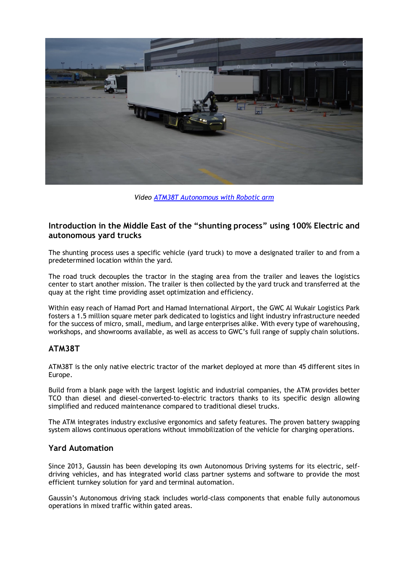

*Video [ATM38T Autonomous with Robotic arm](https://www.youtube.com/watch?v=DNUxY1BIKW0)*

# **Introduction in the Middle East of the "shunting process" using 100% Electric and autonomous yard trucks**

The shunting process uses a specific vehicle (yard truck) to move a designated trailer to and from a predetermined location within the yard.

The road truck decouples the tractor in the staging area from the trailer and leaves the logistics center to start another mission. The trailer is then collected by the yard truck and transferred at the quay at the right time providing asset optimization and efficiency.

Within easy reach of Hamad Port and Hamad International Airport, the GWC Al Wukair Logistics Park fosters a 1.5 million square meter park dedicated to logistics and light industry infrastructure needed for the success of micro, small, medium, and large enterprises alike. With every type of warehousing, workshops, and showrooms available, as well as access to GWC's full range of supply chain solutions.

# **ATM38T**

ATM38T is the only native electric tractor of the market deployed at more than 45 different sites in Europe.

Build from a blank page with the largest logistic and industrial companies, the ATM provides better TCO than diesel and diesel-converted-to-electric tractors thanks to its specific design allowing simplified and reduced maintenance compared to traditional diesel trucks.

The ATM integrates industry exclusive ergonomics and safety features. The proven battery swapping system allows continuous operations without immobilization of the vehicle for charging operations.

# **Yard Automation**

Since 2013, Gaussin has been developing its own Autonomous Driving systems for its electric, selfdriving vehicles, and has integrated world class partner systems and software to provide the most efficient turnkey solution for yard and terminal automation.

Gaussin's Autonomous driving stack includes world-class components that enable fully autonomous operations in mixed traffic within gated areas.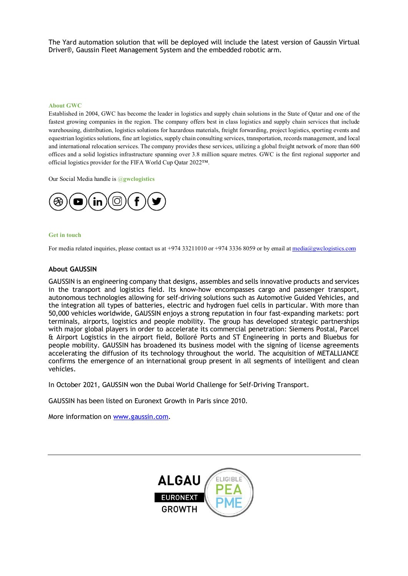The Yard automation solution that will be deployed will include the latest version of Gaussin Virtual Driver®, Gaussin Fleet Management System and the embedded robotic arm.

#### **About GWC**

Established in 2004, GWC has become the leader in logistics and supply chain solutions in the State of Qatar and one of the fastest growing companies in the region. The company offers best in class logistics and supply chain services that include warehousing, distribution, logistics solutions for hazardous materials, freight forwarding, project logistics, sporting events and equestrian logistics solutions, fine art logistics, supply chain consulting services, transportation, records management, and local and international relocation services. The company provides these services, utilizing a global freight network of more than 600 offices and a solid logistics infrastructure spanning over 3.8 million square metres. GWC is the first regional supporter and official logistics provider for the FIFA World Cup Qatar 2022™.

Our Social Media handle is @**gwclogistics**



#### **Get in touch**

For media related inquiries, please contact us at +974 33211010 or +974 3336 8059 or by email at [media@gwclogistics.com](mailto:media@gwclogistics.com)

### **About GAUSSIN**

GAUSSIN is an engineering company that designs, assembles and sells innovative products and services in the transport and logistics field. Its know-how encompasses cargo and passenger transport, autonomous technologies allowing for self-driving solutions such as Automotive Guided Vehicles, and the integration all types of batteries, electric and hydrogen fuel cells in particular. With more than 50,000 vehicles worldwide, GAUSSIN enjoys a strong reputation in four fast-expanding markets: port terminals, airports, logistics and people mobility. The group has developed strategic partnerships with major global players in order to accelerate its commercial penetration: Siemens Postal, Parcel & Airport Logistics in the airport field, Bolloré Ports and ST Engineering in ports and Bluebus for people mobility. GAUSSIN has broadened its business model with the signing of license agreements accelerating the diffusion of its technology throughout the world. The acquisition of METALLIANCE confirms the emergence of an international group present in all segments of intelligent and clean vehicles.

In October 2021, GAUSSIN won the Dubai World Challenge for Self-Driving Transport.

GAUSSIN has been listed on Euronext Growth in Paris since 2010.

More information on [www.gaussin.com.](http://www.gaussin.com/)